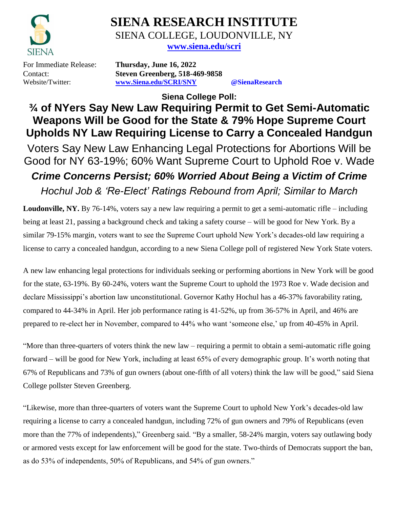

# **SIENA RESEARCH INSTITUTE** SIENA COLLEGE, LOUDONVILLE, NY

**[www.siena.edu/scri](http://www.siena.edu/scri)**

For Immediate Release: **Thursday, June 16, 2022** Contact: **Steven Greenberg, 518-469-9858** Website/Twitter: **[www.Siena.edu/SCRI/SNY](http://www.siena.edu/SCRI/SNY) @SienaResearch**

**Siena College Poll:**

## **¾ of NYers Say New Law Requiring Permit to Get Semi-Automatic Weapons Will be Good for the State & 79% Hope Supreme Court Upholds NY Law Requiring License to Carry a Concealed Handgun**

Voters Say New Law Enhancing Legal Protections for Abortions Will be Good for NY 63-19%; 60% Want Supreme Court to Uphold Roe v. Wade *Crime Concerns Persist; 60% Worried About Being a Victim of Crime Hochul Job & 'Re-Elect' Ratings Rebound from April; Similar to March*

Loudonville, NY. By 76-14%, voters say a new law requiring a permit to get a semi-automatic rifle – including being at least 21, passing a background check and taking a safety course – will be good for New York. By a similar 79-15% margin, voters want to see the Supreme Court uphold New York's decades-old law requiring a license to carry a concealed handgun, according to a new Siena College poll of registered New York State voters.

A new law enhancing legal protections for individuals seeking or performing abortions in New York will be good for the state, 63-19%. By 60-24%, voters want the Supreme Court to uphold the 1973 Roe v. Wade decision and declare Mississippi's abortion law unconstitutional. Governor Kathy Hochul has a 46-37% favorability rating, compared to 44-34% in April. Her job performance rating is 41-52%, up from 36-57% in April, and 46% are prepared to re-elect her in November, compared to 44% who want 'someone else,' up from 40-45% in April.

"More than three-quarters of voters think the new law – requiring a permit to obtain a semi-automatic rifle going forward – will be good for New York, including at least 65% of every demographic group. It's worth noting that 67% of Republicans and 73% of gun owners (about one-fifth of all voters) think the law will be good," said Siena College pollster Steven Greenberg.

"Likewise, more than three-quarters of voters want the Supreme Court to uphold New York's decades-old law requiring a license to carry a concealed handgun, including 72% of gun owners and 79% of Republicans (even more than the 77% of independents)," Greenberg said. "By a smaller, 58-24% margin, voters say outlawing body or armored vests except for law enforcement will be good for the state. Two-thirds of Democrats support the ban, as do 53% of independents, 50% of Republicans, and 54% of gun owners."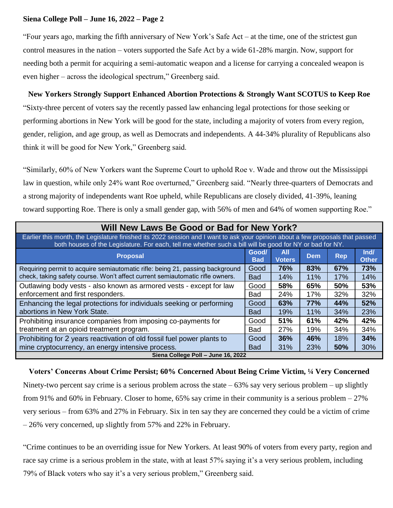### **Siena College Poll – June 16, 2022 – Page 2**

"Four years ago, marking the fifth anniversary of New York's Safe Act – at the time, one of the strictest gun control measures in the nation – voters supported the Safe Act by a wide 61-28% margin. Now, support for needing both a permit for acquiring a semi-automatic weapon and a license for carrying a concealed weapon is even higher – across the ideological spectrum," Greenberg said.

### **New Yorkers Strongly Support Enhanced Abortion Protections & Strongly Want SCOTUS to Keep Roe**

"Sixty-three percent of voters say the recently passed law enhancing legal protections for those seeking or performing abortions in New York will be good for the state, including a majority of voters from every region, gender, religion, and age group, as well as Democrats and independents. A 44-34% plurality of Republicans also think it will be good for New York," Greenberg said.

"Similarly, 60% of New Yorkers want the Supreme Court to uphold Roe v. Wade and throw out the Mississippi law in question, while only 24% want Roe overturned," Greenberg said. "Nearly three-quarters of Democrats and a strong majority of independents want Roe upheld, while Republicans are closely divided, 41-39%, leaning toward supporting Roe. There is only a small gender gap, with 56% of men and 64% of women supporting Roe."

| Will New Laws Be Good or Bad for New York?                                                                                                                                                                                                 |                                    |                      |            |            |                      |  |  |
|--------------------------------------------------------------------------------------------------------------------------------------------------------------------------------------------------------------------------------------------|------------------------------------|----------------------|------------|------------|----------------------|--|--|
| Earlier this month, the Legislature finished its 2022 session and I want to ask your opinion about a few proposals that passed<br>both houses of the Legislature. For each, tell me whether such a bill will be good for NY or bad for NY. |                                    |                      |            |            |                      |  |  |
| <b>Proposal</b>                                                                                                                                                                                                                            | Good/<br><b>Bad</b>                | All<br><b>Voters</b> | Dem        | <b>Rep</b> | Ind/<br><b>Other</b> |  |  |
| Requiring permit to acquire semiautomatic rifle: being 21, passing background<br>check, taking safety course. Won't affect current semiautomatic rifle owners.                                                                             |                                    | 76%                  | 83%        | 67%        | 73%                  |  |  |
|                                                                                                                                                                                                                                            |                                    | 14%                  | 11%        | 17%        | 14%                  |  |  |
| Outlawing body vests - also known as armored vests - except for law<br>enforcement and first responders.                                                                                                                                   |                                    | 58%                  | 65%        | 50%        | 53%                  |  |  |
|                                                                                                                                                                                                                                            |                                    | 24%                  | 17%        | 32%        | 32%                  |  |  |
| Enhancing the legal protections for individuals seeking or performing                                                                                                                                                                      |                                    | 63%                  | <b>77%</b> | 44%        | 52%                  |  |  |
| abortions in New York State.                                                                                                                                                                                                               | <b>Bad</b>                         | 19%                  | 11%        | 34%        | 23%                  |  |  |
| Prohibiting insurance companies from imposing co-payments for                                                                                                                                                                              | Good                               | 51%                  | 61%        | 42%        | 42%                  |  |  |
| treatment at an opioid treatment program.                                                                                                                                                                                                  | Bad                                | 27%                  | 19%        | 34%        | 34%                  |  |  |
| Prohibiting for 2 years reactivation of old fossil fuel power plants to                                                                                                                                                                    | Good                               | 36%                  | 46%        | 18%        | 34%                  |  |  |
| mine cryptocurrency, an energy intensive process.                                                                                                                                                                                          | <b>Bad</b>                         | 31%                  | 23%        | 50%        | 30%                  |  |  |
|                                                                                                                                                                                                                                            | Siena College Poll - June 16, 2022 |                      |            |            |                      |  |  |

**Voters' Concerns About Crime Persist; 60% Concerned About Being Crime Victim, ¼ Very Concerned** Ninety-two percent say crime is a serious problem across the state  $-63\%$  say very serious problem – up slightly from 91% and 60% in February. Closer to home, 65% say crime in their community is a serious problem – 27% very serious – from 63% and 27% in February. Six in ten say they are concerned they could be a victim of crime – 26% very concerned, up slightly from 57% and 22% in February.

"Crime continues to be an overriding issue for New Yorkers. At least 90% of voters from every party, region and race say crime is a serious problem in the state, with at least 57% saying it's a very serious problem, including 79% of Black voters who say it's a very serious problem," Greenberg said.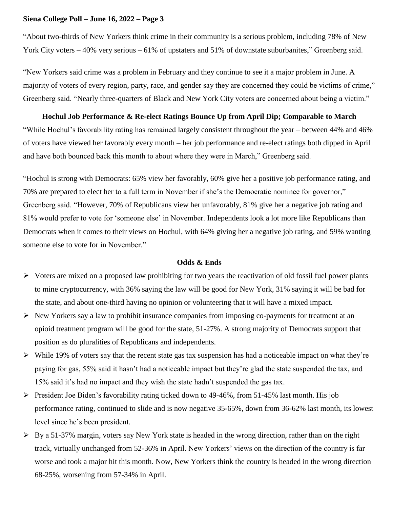### **Siena College Poll – June 16, 2022 – Page 3**

"About two-thirds of New Yorkers think crime in their community is a serious problem, including 78% of New York City voters – 40% very serious – 61% of upstaters and 51% of downstate suburbanites," Greenberg said.

"New Yorkers said crime was a problem in February and they continue to see it a major problem in June. A majority of voters of every region, party, race, and gender say they are concerned they could be victims of crime," Greenberg said. "Nearly three-quarters of Black and New York City voters are concerned about being a victim."

### **Hochul Job Performance & Re-elect Ratings Bounce Up from April Dip; Comparable to March**

"While Hochul's favorability rating has remained largely consistent throughout the year – between 44% and 46% of voters have viewed her favorably every month – her job performance and re-elect ratings both dipped in April and have both bounced back this month to about where they were in March," Greenberg said.

"Hochul is strong with Democrats: 65% view her favorably, 60% give her a positive job performance rating, and 70% are prepared to elect her to a full term in November if she's the Democratic nominee for governor," Greenberg said. "However, 70% of Republicans view her unfavorably, 81% give her a negative job rating and 81% would prefer to vote for 'someone else' in November. Independents look a lot more like Republicans than Democrats when it comes to their views on Hochul, with 64% giving her a negative job rating, and 59% wanting someone else to vote for in November."

### **Odds & Ends**

- $\triangleright$  Voters are mixed on a proposed law prohibiting for two years the reactivation of old fossil fuel power plants to mine cryptocurrency, with 36% saying the law will be good for New York, 31% saying it will be bad for the state, and about one-third having no opinion or volunteering that it will have a mixed impact.
- ➢ New Yorkers say a law to prohibit insurance companies from imposing co-payments for treatment at an opioid treatment program will be good for the state, 51-27%. A strong majority of Democrats support that position as do pluralities of Republicans and independents.
- $\triangleright$  While 19% of voters say that the recent state gas tax suspension has had a noticeable impact on what they're paying for gas, 55% said it hasn't had a noticeable impact but they're glad the state suspended the tax, and 15% said it's had no impact and they wish the state hadn't suspended the gas tax.
- $\triangleright$  President Joe Biden's favorability rating ticked down to 49-46%, from 51-45% last month. His job performance rating, continued to slide and is now negative 35-65%, down from 36-62% last month, its lowest level since he's been president.
- $\triangleright$  By a 51-37% margin, voters say New York state is headed in the wrong direction, rather than on the right track, virtually unchanged from 52-36% in April. New Yorkers' views on the direction of the country is far worse and took a major hit this month. Now, New Yorkers think the country is headed in the wrong direction 68-25%, worsening from 57-34% in April.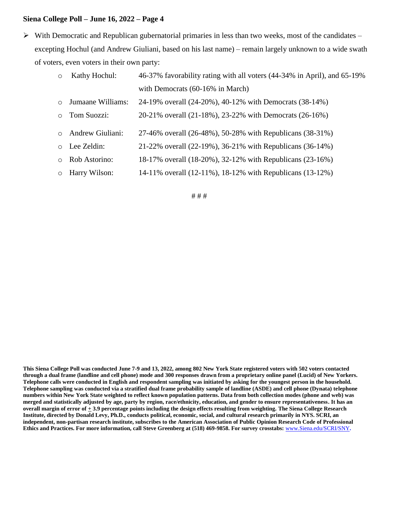### **Siena College Poll – June 16, 2022 – Page 4**

 $\triangleright$  With Democratic and Republican gubernatorial primaries in less than two weeks, most of the candidates – excepting Hochul (and Andrew Giuliani, based on his last name) – remain largely unknown to a wide swath of voters, even voters in their own party:

| $\circ$ Kathy Hochul: | 46-37% favorability rating with all voters (44-34% in April), and 65-19% |
|-----------------------|--------------------------------------------------------------------------|
|                       | with Democrats $(60-16\%$ in March)                                      |

- $\circ$  Jumaane Williams: 24-19% overall (24-20%), 40-12% with Democrats (38-14%)
- o Tom Suozzi: 20-21% overall (21-18%), 23-22% with Democrats (26-16%)
- o Andrew Giuliani: 27-46% overall (26-48%), 50-28% with Republicans (38-31%)
- $\circ$  Lee Zeldin: 21-22% overall (22-19%), 36-21% with Republicans (36-14%)
- $\circ$  Rob Astorino: 18-17% overall (18-20%), 32-12% with Republicans (23-16%)
- $\circ$  Harry Wilson: 14-11% overall (12-11%), 18-12% with Republicans (13-12%)

#### # # #

**This Siena College Poll was conducted June 7-9 and 13, 2022, among 802 New York State registered voters with 502 voters contacted through a dual frame (landline and cell phone) mode and 300 responses drawn from a proprietary online panel (Lucid) of New Yorkers. Telephone calls were conducted in English and respondent sampling was initiated by asking for the youngest person in the household. Telephone sampling was conducted via a stratified dual frame probability sample of landline (ASDE) and cell phone (Dynata) telephone numbers within New York State weighted to reflect known population patterns. Data from both collection modes (phone and web) was merged and statistically adjusted by age, party by region, race/ethnicity, education, and gender to ensure representativeness. It has an overall margin of error of**  $\pm 3.9$  **percentage points including the design effects resulting from weighting. The Siena College Research Institute, directed by Donald Levy, Ph.D., conducts political, economic, social, and cultural research primarily in NYS. SCRI, an independent, non-partisan research institute, subscribes to the American Association of Public Opinion Research Code of Professional Ethics and Practices. For more information, call Steve Greenberg at (518) 469-9858. For survey crosstabs:** [www.Siena.edu/SCRI/SNY](http://www.siena.edu/SCRI/SNY)**.**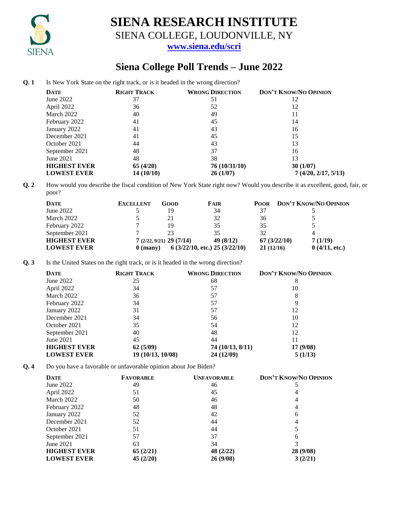

## **SIENA RESEARCH INSTITUTE**

SIENA COLLEGE, LOUDONVILLE, NY

**[www.siena.edu/scri](http://www.siena.edu/scri)**

### **Siena College Poll Trends – June 2022**

**Q. 1** Is New York State on the right track, or is it headed in the wrong direction?

| <b>DATE</b>         | <b>RIGHT TRACK</b> | <b>WRONG DIRECTION</b> | <b>DON'T KNOW/NO OPINION</b> |
|---------------------|--------------------|------------------------|------------------------------|
| June 2022           | 37                 | 51                     | 12                           |
| April 2022          | 36                 | 52                     | 12                           |
| March 2022          | 40                 | 49                     | 11                           |
| February 2022       | 41                 | 45                     | 14                           |
| January 2022        | 41                 | 43                     | 16                           |
| December 2021       | 41                 | 45                     | 15                           |
| October 2021        | 44                 | 43                     | 13                           |
| September 2021      | 48                 | 37                     | 16                           |
| June 2021           | 48                 | 38                     | 13                           |
| <b>HIGHEST EVER</b> | 65(4/20)           | 76 (10/31/10)          | 30(1/07)                     |
| <b>LOWEST EVER</b>  | 14(10/10)          | 26(1/07)               | 7(4/20, 2/17, 5/13)          |

**Q. 2** How would you describe the fiscal condition of New York State right now? Would you describe it as excellent, good, fair, or poor?

| <b>DATE</b>         | <b>EXCELLENT</b> | GOOD                      | <b>FAIR</b>                      | <b>POOR</b> | DON'T KNOW/NO OPINION |
|---------------------|------------------|---------------------------|----------------------------------|-------------|-----------------------|
| June 2022           |                  | 19                        | 34                               |             |                       |
| March 2022          |                  | 21                        | 32                               | 36          |                       |
| February 2022       |                  | 19                        | 35                               | 35          |                       |
| September 2021      |                  |                           | 35                               | 32          |                       |
| <b>HIGHEST EVER</b> |                  | $7(2/22, 9/21)$ 29 (7/14) | 49 (8/12)                        | 67(3/22/10) | 7(1/19)               |
| <b>LOWEST EVER</b>  | $0$ (many)       |                           | $6$ (3/22/10, etc.) 25 (3/22/10) | 21(12/16)   | 0(4/11, etc.)         |

**Q. 3** Is the United States on the right track, or is it headed in the wrong direction?

| <b>DATE</b>         | <b>RIGHT TRACK</b> | <b>WRONG DIRECTION</b> | <b>DON'T KNOW/NO OPINION</b> |
|---------------------|--------------------|------------------------|------------------------------|
| June 2022           | 25                 | 68                     | 8                            |
| April 2022          | 34                 | 57                     | 10                           |
| March 2022          | 36                 | 57                     | 8                            |
| February 2022       | 34                 | 57                     |                              |
| January 2022        | 31                 | 57                     | 12                           |
| December 2021       | 34                 | 56                     | 10                           |
| October 2021        | 35                 | 54                     | 12                           |
| September 2021      | 40                 | 48                     | 12                           |
| June 2021           | 45                 | 44                     |                              |
| <b>HIGHEST EVER</b> | 62(5/09)           | 74 (10/13, 8/11)       | 17 (9/08)                    |
| <b>LOWEST EVER</b>  | 19 (10/13, 10/08)  | 24 (12/09)             | 5(1/13)                      |

**Q. 4** Do you have a favorable or unfavorable opinion about Joe Biden?

| <b>DATE</b>         | <b>FAVORABLE</b> | <b>UNFAVORABLE</b> | <b>DON'T KNOW/NO OPINION</b> |
|---------------------|------------------|--------------------|------------------------------|
| June $2022$         | 49               | 46                 |                              |
| April 2022          | 51               | 45                 |                              |
| March 2022          | 50               | 46                 |                              |
| February 2022       | 48               | 48                 |                              |
| January 2022        | 52               | 42                 | 6                            |
| December 2021       | 52               | 44                 |                              |
| October 2021        | 51               | 44                 |                              |
| September 2021      | 57               | 37                 | h                            |
| June 2021           | 63               | 34                 |                              |
| <b>HIGHEST EVER</b> | 65(2/21)         | 48 (2/22)          | 28 (9/08)                    |
| <b>LOWEST EVER</b>  | 45(2/20)         | 26 (9/08)          | 3(2/21)                      |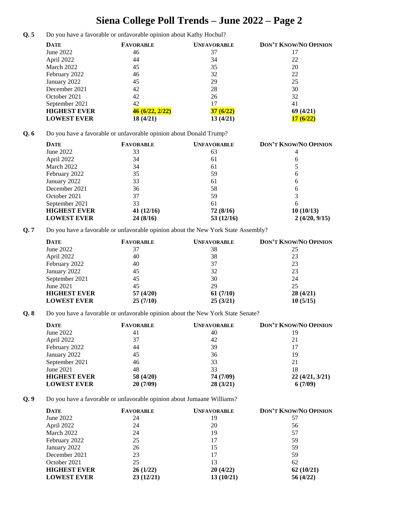## **Siena College Poll Trends – June 2022 – Page 2**

**Q. 5** Do you have a favorable or unfavorable opinion about Kathy Hochul?

| <b>DATE</b>         | <b>FAVORABLE</b> | <b>UNFAVORABLE</b> | <b>DON'T KNOW/NO OPINION</b> |
|---------------------|------------------|--------------------|------------------------------|
| June 2022           | 46               | 37                 |                              |
| April 2022          | 44               | 34                 | 22                           |
| March 2022          | 45               | 35                 | 20                           |
| February 2022       | 46               | 32                 | 22                           |
| January 2022        | 45               | 29                 | 25                           |
| December 2021       | 42               | 28                 | 30                           |
| October 2021        | 42               | 26                 | 32                           |
| September 2021      | 42               | 17                 | 41                           |
| <b>HIGHEST EVER</b> | 46 (6/22, 2/22)  | 37(6/22)           | 69(4/21)                     |
| <b>LOWEST EVER</b>  | 18 (4/21)        | 13(4/21)           | 17(6/22)                     |

**Q. 6** Do you have a favorable or unfavorable opinion about Donald Trump?

| <b>DATE</b>         | <b>FAVORABLE</b> | <b>UNFAVORABLE</b> | <b>DON'T KNOW/NO OPINION</b> |
|---------------------|------------------|--------------------|------------------------------|
| June 2022           | 33               | 63                 |                              |
| April 2022          | 34               | 61                 | O                            |
| March 2022          | 34               | 61                 |                              |
| February 2022       | 35               | 59                 | 6                            |
| January 2022        | 33               | 61                 | 6                            |
| December 2021       | 36               | 58                 | h                            |
| October 2021        | 37               | 59                 |                              |
| September 2021      | 33               | 61                 |                              |
| <b>HIGHEST EVER</b> | 41(12/16)        | 72(8/16)           | 10(10/13)                    |
| <b>LOWEST EVER</b>  | 24(8/16)         | 53(12/16)          | 2(4/20, 9/15)                |

**Q. 7** Do you have a favorable or unfavorable opinion about the New York State Assembly?

| <b>DATE</b>         | <b>FAVORABLE</b> | <b>UNFAVORABLE</b> | <b>DON'T KNOW/NO OPINION</b> |
|---------------------|------------------|--------------------|------------------------------|
| June 2022           | 37               | 38                 | 25                           |
| April 2022          | 40               | 38                 | 23                           |
| February 2022       | 40               | 37                 | 23                           |
| January 2022        | 45               | 32                 | 23                           |
| September 2021      | 45               | 30                 | 24                           |
| June 2021           | 45               | 29                 | 25                           |
| <b>HIGHEST EVER</b> | 57(4/20)         | 61(7/10)           | 28(4/21)                     |
| <b>LOWEST EVER</b>  | 25(7/10)         | 25(3/21)           | 10(5/15)                     |

**Q. 8** Do you have a favorable or unfavorable opinion about the New York State Senate?

| <b>DATE</b>         | <b>FAVORABLE</b> | <b>UNFAVORABLE</b> | <b>DON'T KNOW/NO OPINION</b> |
|---------------------|------------------|--------------------|------------------------------|
| June 2022           | 41               | 40                 | 19                           |
| April 2022          | 37               | 42                 | 21                           |
| February 2022       | 44               | 39                 |                              |
| January 2022        | 45               | 36                 | 19                           |
| September 2021      | 46               | 33                 | 21                           |
| June 2021           | 48               | 33                 | 18                           |
| <b>HIGHEST EVER</b> | 58 (4/20)        | 74 (7/09)          | 22(4/21, 3/21)               |
| <b>LOWEST EVER</b>  | 20(7/09)         | 28(3/21)           | 6(7/09)                      |

**Q. 9** Do you have a favorable or unfavorable opinion about Jumaane Williams?

| <b>DATE</b>         | <b>FAVORABLE</b> | <b>UNFAVORABLE</b> | <b>DON'T KNOW/NO OPINION</b> |
|---------------------|------------------|--------------------|------------------------------|
| June 2022           | 24               | 19                 | 57                           |
| April 2022          | 24               | 20                 | 56                           |
| March 2022          | 24               | 19                 | 57                           |
| February 2022       | 25               | 17                 | 59                           |
| January 2022        | 26               | 15                 | 59                           |
| December 2021       | 23               | 17                 | 59                           |
| October 2021        | 25               | 13                 | 62                           |
| <b>HIGHEST EVER</b> | 26(1/22)         | 20(4/22)           | 62(10/21)                    |
| <b>LOWEST EVER</b>  | 23(12/21)        | 13(10/21)          | 56(4/22)                     |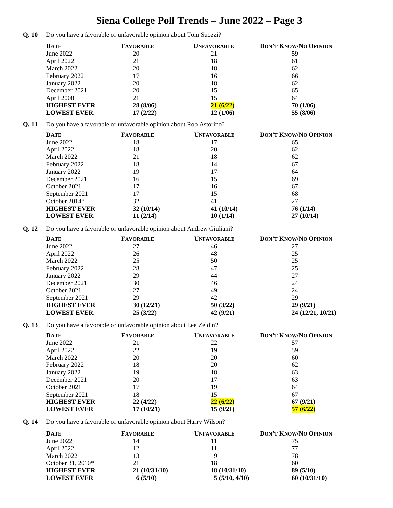## **Siena College Poll Trends – June 2022 – Page 3**

**Q. 10** Do you have a favorable or unfavorable opinion about Tom Suozzi?

|      | <b>DATE</b>         | <b>FAVORABLE</b>                                                      | <b>UNFAVORABLE</b> | DON'T KNOW/NO OPINION |
|------|---------------------|-----------------------------------------------------------------------|--------------------|-----------------------|
|      | <b>June 2022</b>    | 20                                                                    | 21                 | 59                    |
|      | April 2022          | 21                                                                    | 18                 | 61                    |
|      | March 2022          | 20                                                                    | 18                 | 62                    |
|      | February 2022       | 17                                                                    | 16                 | 66                    |
|      | January 2022        | 20                                                                    | 18                 | 62                    |
|      | December 2021       | 20                                                                    | 15                 | 65                    |
|      | April 2008          | 21                                                                    | 15                 | 64                    |
|      | <b>HIGHEST EVER</b> | 28 (8/06)                                                             | 21(6/22)           | 70 (1/06)             |
|      | <b>LOWEST EVER</b>  | 17(2/22)                                                              | 12(1/06)           | 55 (8/06)             |
| Q.11 |                     | Do you have a favorable or unfavorable opinion about Rob Astorino?    |                    |                       |
|      | <b>DATE</b>         | <b>FAVORABLE</b>                                                      | <b>UNFAVORABLE</b> | DON'T KNOW/NO OPINION |
|      | June 2022           | 18                                                                    | 17                 | 65                    |
|      | April 2022          | 18                                                                    | 20                 | 62                    |
|      | March 2022          | 21                                                                    | 18                 | 62                    |
|      | February 2022       | 18                                                                    | 14                 | 67                    |
|      | January 2022        | 19                                                                    | 17                 | 64                    |
|      | December 2021       | 16                                                                    | 15                 | 69                    |
|      | October 2021        | 17                                                                    | 16                 | 67                    |
|      | September 2021      | 17                                                                    | 15                 | 68                    |
|      | October 2014*       | 32                                                                    | 41                 | 27                    |
|      | <b>HIGHEST EVER</b> | 32(10/14)                                                             | 41 (10/14)         | 76(1/14)              |
|      | <b>LOWEST EVER</b>  | 11(2/14)                                                              | 10(1/14)           | 27(10/14)             |
| 0.12 |                     | Do you have a favorable or unfavorable opinion about Andrew Giuliani? |                    |                       |
|      | <b>DATE</b>         | <b>FAVORABLE</b>                                                      | <b>UNFAVORABLE</b> | DON'T KNOW/NO OPINION |
|      | June 2022           | 27                                                                    | 46                 | 27                    |
|      | April 2022          | 26                                                                    | 48                 | 25                    |
|      | March 2022          | 25                                                                    | 50                 | 25                    |
|      | February 2022       | 28                                                                    | 47                 | 25                    |
|      | January 2022        | 29                                                                    | 44                 | 27                    |
|      | December 2021       | 30                                                                    | 46                 | 24                    |
|      | October 2021        | 27                                                                    | 49                 | 24                    |
|      | September 2021      | 29                                                                    | 42                 | 29                    |

**Q. 13** Do you have a favorable or unfavorable opinion about Lee Zeldin?

| <b>DATE</b>         | <b>FAVORABLE</b> | <b>UNFAVORABLE</b> | <b>DON'T KNOW/NO OPINION</b> |
|---------------------|------------------|--------------------|------------------------------|
| June 2022           | 21               | 22                 | 57                           |
| April 2022          | 22               | 19                 | 59                           |
| March 2022          | 20               | 20                 | 60                           |
| February 2022       | 18               | 20                 | 62                           |
| January 2022        | 19               | 18                 | 63                           |
| December 2021       | 20               | 17                 | 63                           |
| October 2021        | 17               | 19                 | 64                           |
| September 2021      | 18               | 15                 | 67                           |
| <b>HIGHEST EVER</b> | 22(4/22)         | 22(6/22)           | 67(9/21)                     |
| <b>LOWEST EVER</b>  | 17(10/21)        | 15(9/21)           | 57 (6/22)                    |

**HIGHEST EVER 30** (12/21) **50** (3/22) **29** (9/21)<br> **LOWEST EVER 25** (3/22) **42** (9/21) **24** (12/21)

**LOWEST EVER 25 (3/22) 42 (9/21) 24 (12/21, 10/21)**

**Q. 14** Do you have a favorable or unfavorable opinion about Harry Wilson?

| <b>DATE</b>         | <b>FAVORABLE</b> | <b>UNFAVORABLE</b> | <b>DON'T KNOW/NO OPINION</b> |
|---------------------|------------------|--------------------|------------------------------|
| June 2022           | 14               |                    | 75                           |
| <b>April 2022</b>   | 12               |                    | 77                           |
| March 2022          | 13               | Q                  | 78                           |
| October 31, 2010*   | 21               | 18                 | 60                           |
| <b>HIGHEST EVER</b> | 21(10/31/10)     | 18(10/31/10)       | 89(5/10)                     |
| <b>LOWEST EVER</b>  | 6(5/10)          | 5(5/10, 4/10)      | 60(10/31/10)                 |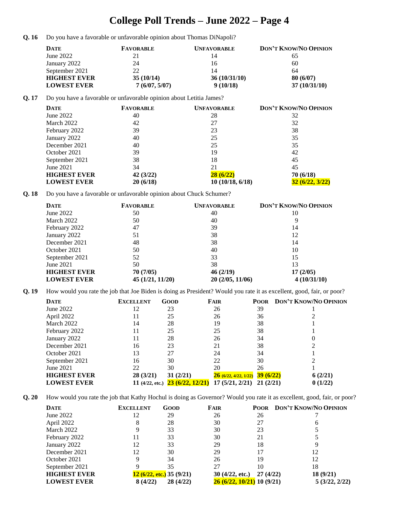## **College Poll Trends – June 2022 – Page 4**

Q. 16 Do you have a favorable or unfavorable opinion about Thomas DiNapoli?

| <b>DATE</b>         | <b>FAVORABLE</b> | <b>UNFAVORABLE</b> | <b>DON'T KNOW/NO OPINION</b> |
|---------------------|------------------|--------------------|------------------------------|
| June 2022           | 21               | 14                 |                              |
| January 2022        | 24               | 16                 | 60                           |
| September 2021      | 22               | 14                 | 64                           |
| <b>HIGHEST EVER</b> | 35(10/14)        | 36(10/31/10)       | 80(6/07)                     |
| <b>LOWEST EVER</b>  | 7(6/07, 5/07)    | 9(10/18)           | 37(10/31/10)                 |

#### **Q. 17** Do you have a favorable or unfavorable opinion about Letitia James?

| <b>DATE</b>         | <b>FAVORABLE</b> | <b>UNFAVORABLE</b> | <b>DON'T KNOW/NO OPINION</b> |
|---------------------|------------------|--------------------|------------------------------|
| June 2022           | 40               | 28                 | 32                           |
| March 2022          | 42               | 27                 | 32                           |
| February 2022       | 39               | 23                 | 38                           |
| January 2022        | 40               | 25                 | 35                           |
| December 2021       | 40               | 25                 | 35                           |
| October 2021        | 39               | 19                 | 42                           |
| September 2021      | 38               | 18                 | 45                           |
| June 2021           | 34               | 21                 | 45                           |
| <b>HIGHEST EVER</b> | 42(3/22)         | 28(6/22)           | 70(6/18)                     |
| <b>LOWEST EVER</b>  | 20(6/18)         | 10(10/18, 6/18)    | 32(6/22, 3/22)               |

**Q. 18** Do you have a favorable or unfavorable opinion about Chuck Schumer?

| <b>DATE</b>         | <b>FAVORABLE</b> | <b>UNFAVORABLE</b> | <b>DON'T KNOW/NO OPINION</b> |
|---------------------|------------------|--------------------|------------------------------|
| June $2022$         | 50               | 40                 | 10                           |
| March 2022          | 50               | 40                 | 9                            |
| February 2022       | 47               | 39                 | 14                           |
| January 2022        | 51               | 38                 | 12                           |
| December 2021       | 48               | 38                 | 14                           |
| October 2021        | 50               | 40                 | 10                           |
| September 2021      | 52               | 33                 | 15                           |
| June 2021           | 50               | 38                 | 13                           |
| <b>HIGHEST EVER</b> | 70(7/05)         | 46(2/19)           | 17(2/05)                     |
| <b>LOWEST EVER</b>  | 45(1/21, 11/20)  | 20(2/05, 11/06)    | 4(10/31/10)                  |

**Q. 19** How would you rate the job that Joe Biden is doing as President? Would you rate it as excellent, good, fair, or poor?

| <b>DATE</b>         | <b>EXCELLENT</b>  | GOOD                    | FAIR                 | <b>POOR</b> | DON'T KNOW/NO OPINION |
|---------------------|-------------------|-------------------------|----------------------|-------------|-----------------------|
| June 2022           | 12                | 23                      | 26                   | 39          |                       |
| April 2022          |                   | 25                      | 26                   | 36          |                       |
| March 2022          | 14                | 28                      | 19                   | 38          |                       |
| February 2022       | 11                | 25                      | 25                   | 38          |                       |
| January 2022        | 11                | 28                      | 26                   | 34          |                       |
| December 2021       | 16                | 23                      | 21                   | 38          |                       |
| October 2021        | 13                | 27                      | 24                   | 34          |                       |
| September 2021      | 16                | 30                      | 22                   | 30          |                       |
| June 2021           | 22                | 30                      | 20                   | 26          |                       |
| <b>HIGHEST EVER</b> | 28 (3/21)         | 31(2/21)                | 26(6/22, 4/22, 1/22) | 39(6/22)    | 6(2/21)               |
| <b>LOWEST EVER</b>  | 11 $(4/22, etc.)$ | <b>23 (6/22, 12/21)</b> | 17(5/21, 2/21)       | 21(2/21)    | 0(1/22)               |

**Q. 20** How would you rate the job that Kathy Hochul is doing as Governor? Would you rate it as excellent, good, fair, or poor?

| <b>DATE</b>         | <b>EXCELLENT</b> | GOOD                       | FAIR                       | <b>POOR</b> | <b>DON'T KNOW/NO OPINION</b> |
|---------------------|------------------|----------------------------|----------------------------|-------------|------------------------------|
| June 2022           | 12               | 29                         | 26                         | 26          |                              |
| April 2022          | 8                | 28                         | 30                         | 27          | O                            |
| March 2022          | 9                | 33                         | 30                         | 23          |                              |
| February 2022       | 11               | 33                         | 30                         | 21          |                              |
| January 2022        | 12               | 33                         | 29                         | 18          |                              |
| December 2021       | 12               | 30                         | 29                         |             | 12                           |
| October 2021        | 9                | 34                         | 26                         | 19          | 12                           |
| September 2021      |                  | 35                         | 27                         | 10          | 18                           |
| <b>HIGHEST EVER</b> |                  | $12(6/22, etc.)$ 35 (9/21) | 30(4/22, etc.)             | 27(4/22)    | 18 (9/21)                    |
| <b>LOWEST EVER</b>  | 8(4/22)          | 28 (4/22)                  | 26 (6/22, 10/21) 10 (9/21) |             | 5(3/22, 2/22)                |